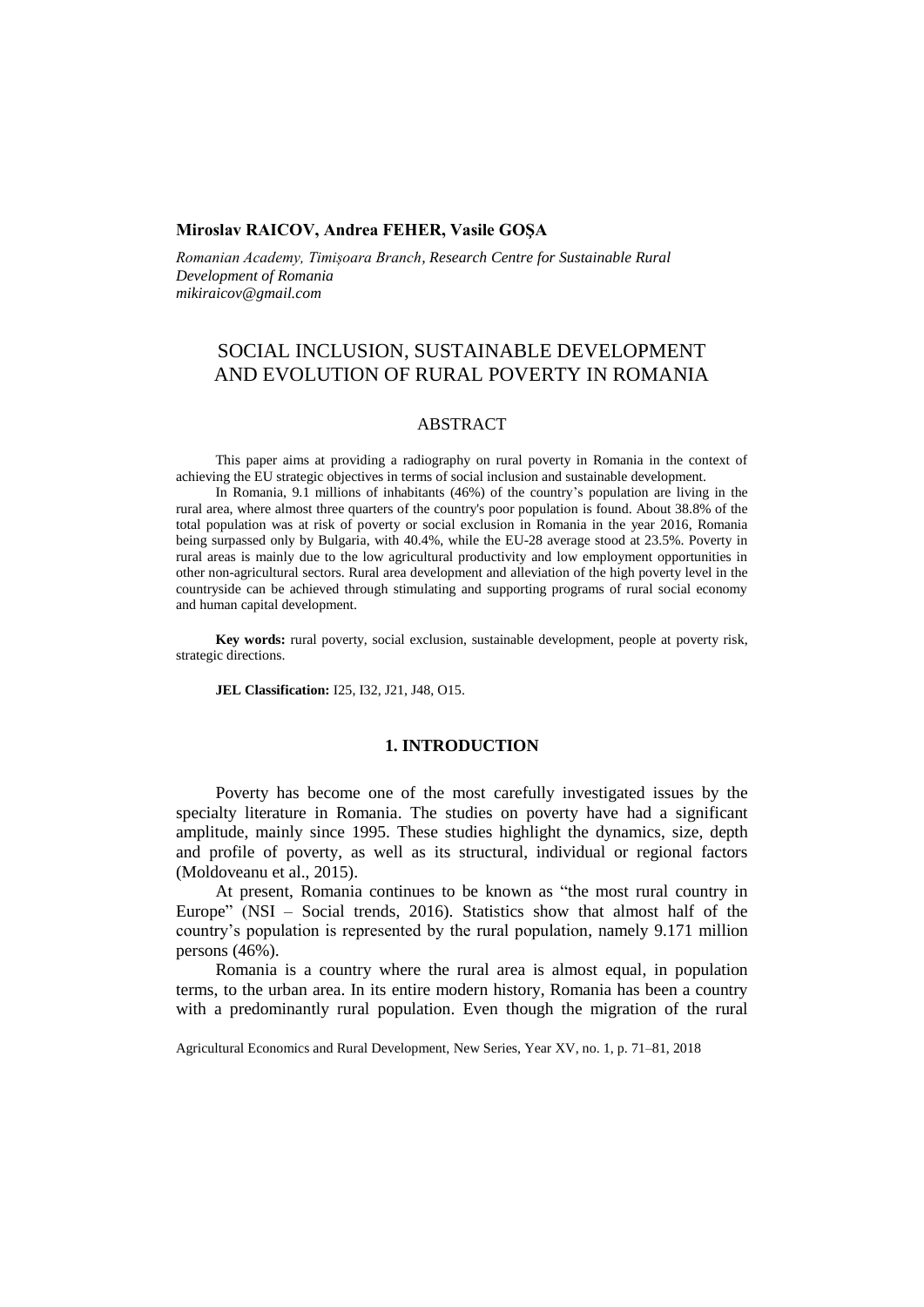# **Miroslav RAICOV, Andrea FEHER, Vasile GOŞA**

*Romanian Academy, Timișoara Branch, Research Centre for Sustainable Rural Development of Romania mikiraicov@gmail.com*

# SOCIAL INCLUSION, SUSTAINABLE DEVELOPMENT AND EVOLUTION OF RURAL POVERTY IN ROMANIA

# ABSTRACT

This paper aims at providing a radiography on rural poverty in Romania in the context of achieving the EU strategic objectives in terms of social inclusion and sustainable development.

In Romania, 9.1 millions of inhabitants (46%) of the country's population are living in the rural area, where almost three quarters of the country's poor population is found. About 38.8% of the total population was at risk of poverty or social exclusion in Romania in the year 2016, Romania being surpassed only by Bulgaria, with 40.4%, while the EU-28 average stood at 23.5%. Poverty in rural areas is mainly due to the low agricultural productivity and low employment opportunities in other non-agricultural sectors. Rural area development and alleviation of the high poverty level in the countryside can be achieved through stimulating and supporting programs of rural social economy and human capital development.

**Key words:** rural poverty, social exclusion, sustainable development, people at poverty risk, strategic directions.

**JEL Classification:** I25, I32, J21, J48, O15.

### **1. INTRODUCTION**

Poverty has become one of the most carefully investigated issues by the specialty literature in Romania. The studies on poverty have had a significant amplitude, mainly since 1995. These studies highlight the dynamics, size, depth and profile of poverty, as well as its structural, individual or regional factors (Moldoveanu et al., 2015).

At present, Romania continues to be known as "the most rural country in Europe" (NSI – Social trends, 2016). Statistics show that almost half of the country's population is represented by the rural population, namely 9.171 million persons (46%).

Romania is a country where the rural area is almost equal, in population terms, to the urban area. In its entire modern history, Romania has been a country with a predominantly rural population. Even though the migration of the rural

Agricultural Economics and Rural Development, New Series, Year XV, no. 1, p. 71–81, 2018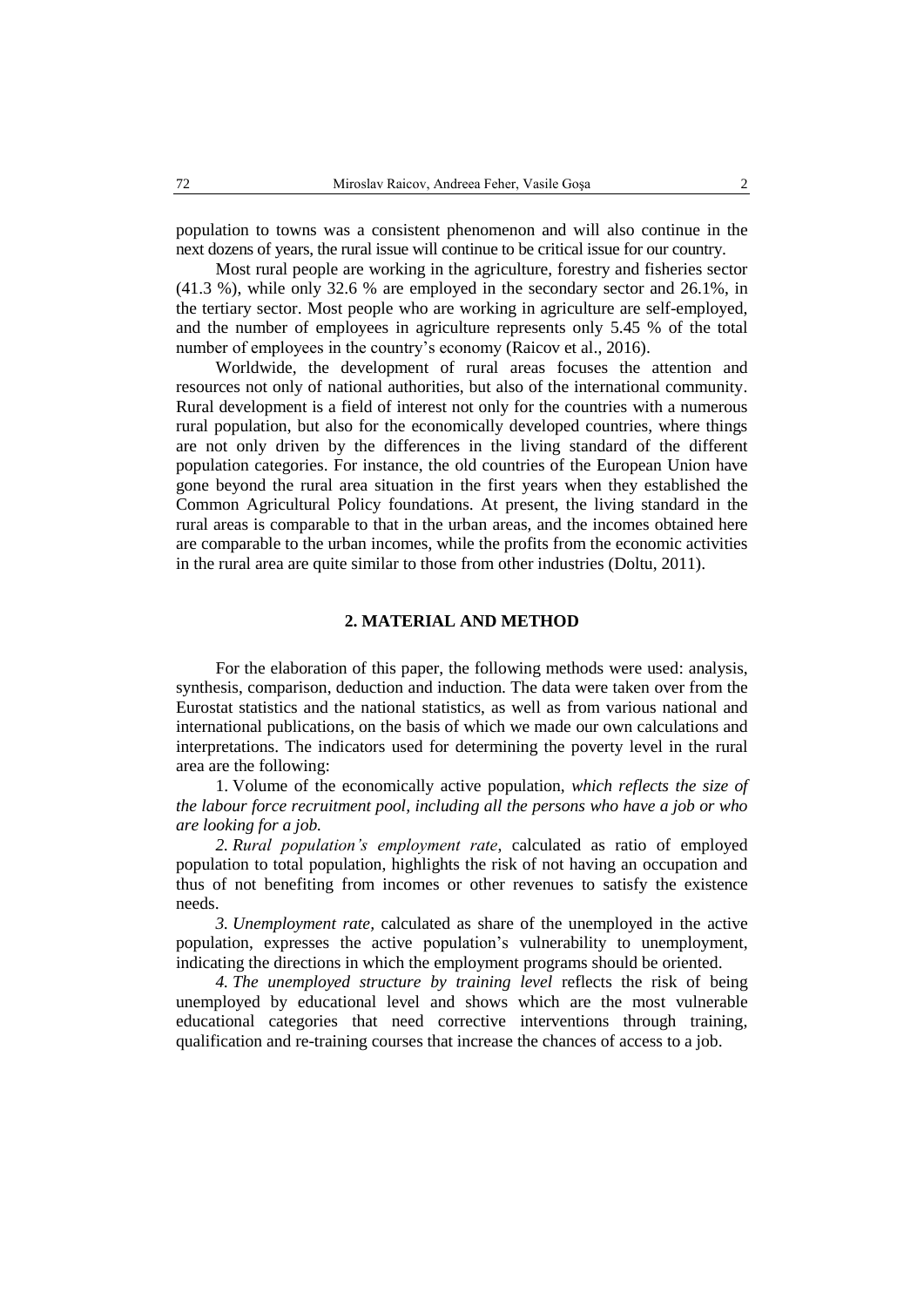population to towns was a consistent phenomenon and will also continue in the next dozens of years, the rural issue will continue to be critical issue for our country.

Most rural people are working in the agriculture, forestry and fisheries sector (41.3 %), while only 32.6 % are employed in the secondary sector and 26.1%, in the tertiary sector. Most people who are working in agriculture are self-employed, and the number of employees in agriculture represents only 5.45 % of the total number of employees in the country's economy (Raicov et al., 2016).

Worldwide, the development of rural areas focuses the attention and resources not only of national authorities, but also of the international community. Rural development is a field of interest not only for the countries with a numerous rural population, but also for the economically developed countries, where things are not only driven by the differences in the living standard of the different population categories. For instance, the old countries of the European Union have gone beyond the rural area situation in the first years when they established the Common Agricultural Policy foundations. At present, the living standard in the rural areas is comparable to that in the urban areas, and the incomes obtained here are comparable to the urban incomes, while the profits from the economic activities in the rural area are quite similar to those from other industries (Doltu, 2011).

# **2. MATERIAL AND METHOD**

For the elaboration of this paper, the following methods were used: analysis, synthesis, comparison, deduction and induction. The data were taken over from the Eurostat statistics and the national statistics, as well as from various national and international publications, on the basis of which we made our own calculations and interpretations. The indicators used for determining the poverty level in the rural area are the following:

1. Volume of the economically active population, *which reflects the size of the labour force recruitment pool, including all the persons who have a job or who are looking for a job.*

*2. Rural population's employment rate*, calculated as ratio of employed population to total population, highlights the risk of not having an occupation and thus of not benefiting from incomes or other revenues to satisfy the existence needs.

*3. Unemployment rate,* calculated as share of the unemployed in the active population, expresses the active population's vulnerability to unemployment, indicating the directions in which the employment programs should be oriented.

*4. The unemployed structure by training level* reflects the risk of being unemployed by educational level and shows which are the most vulnerable educational categories that need corrective interventions through training, qualification and re-training courses that increase the chances of access to a job.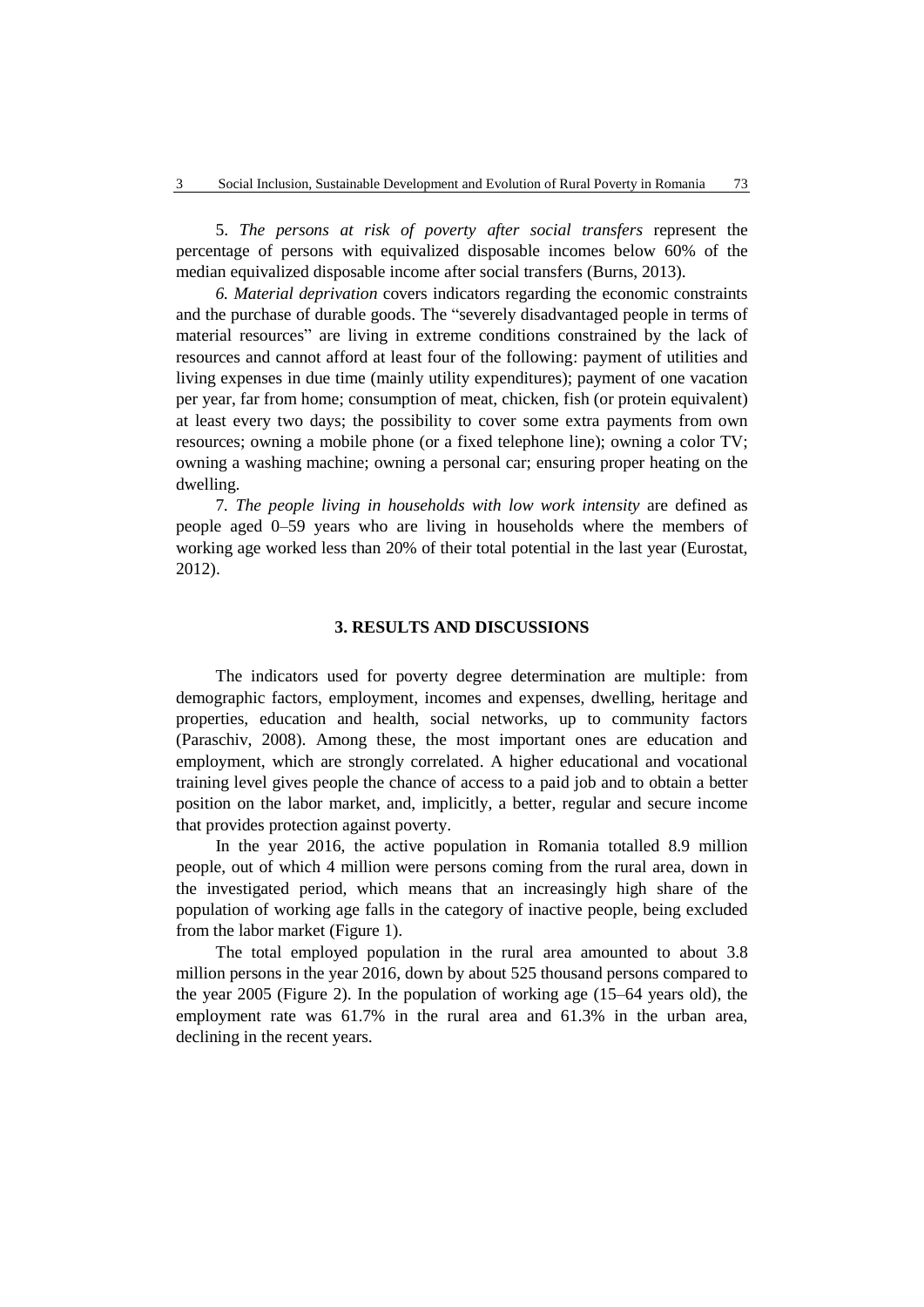5. *The persons at risk of poverty after social transfers* represent the percentage of persons with equivalized disposable incomes below 60% of the median equivalized disposable income after social transfers (Burns, 2013).

*6. Material deprivation* covers indicators regarding the economic constraints and the purchase of durable goods. The "severely disadvantaged people in terms of material resources" are living in extreme conditions constrained by the lack of resources and cannot afford at least four of the following: payment of utilities and living expenses in due time (mainly utility expenditures); payment of one vacation per year, far from home; consumption of meat, chicken, fish (or protein equivalent) at least every two days; the possibility to cover some extra payments from own resources; owning a mobile phone (or a fixed telephone line); owning a color TV; owning a washing machine; owning a personal car; ensuring proper heating on the dwelling.

7*. The people living in households with low work intensity* are defined as people aged 0–59 years who are living in households where the members of working age worked less than 20% of their total potential in the last year (Eurostat, 2012).

### **3. RESULTS AND DISCUSSIONS**

The indicators used for poverty degree determination are multiple: from demographic factors, employment, incomes and expenses, dwelling, heritage and properties, education and health, social networks, up to community factors (Paraschiv, 2008). Among these, the most important ones are education and employment, which are strongly correlated. A higher educational and vocational training level gives people the chance of access to a paid job and to obtain a better position on the labor market, and, implicitly, a better, regular and secure income that provides protection against poverty.

In the year 2016, the active population in Romania totalled 8.9 million people, out of which 4 million were persons coming from the rural area, down in the investigated period, which means that an increasingly high share of the population of working age falls in the category of inactive people, being excluded from the labor market (Figure 1).

The total employed population in the rural area amounted to about 3.8 million persons in the year 2016, down by about 525 thousand persons compared to the year 2005 (Figure 2). In the population of working age (15–64 years old), the employment rate was 61.7% in the rural area and 61.3% in the urban area, declining in the recent years.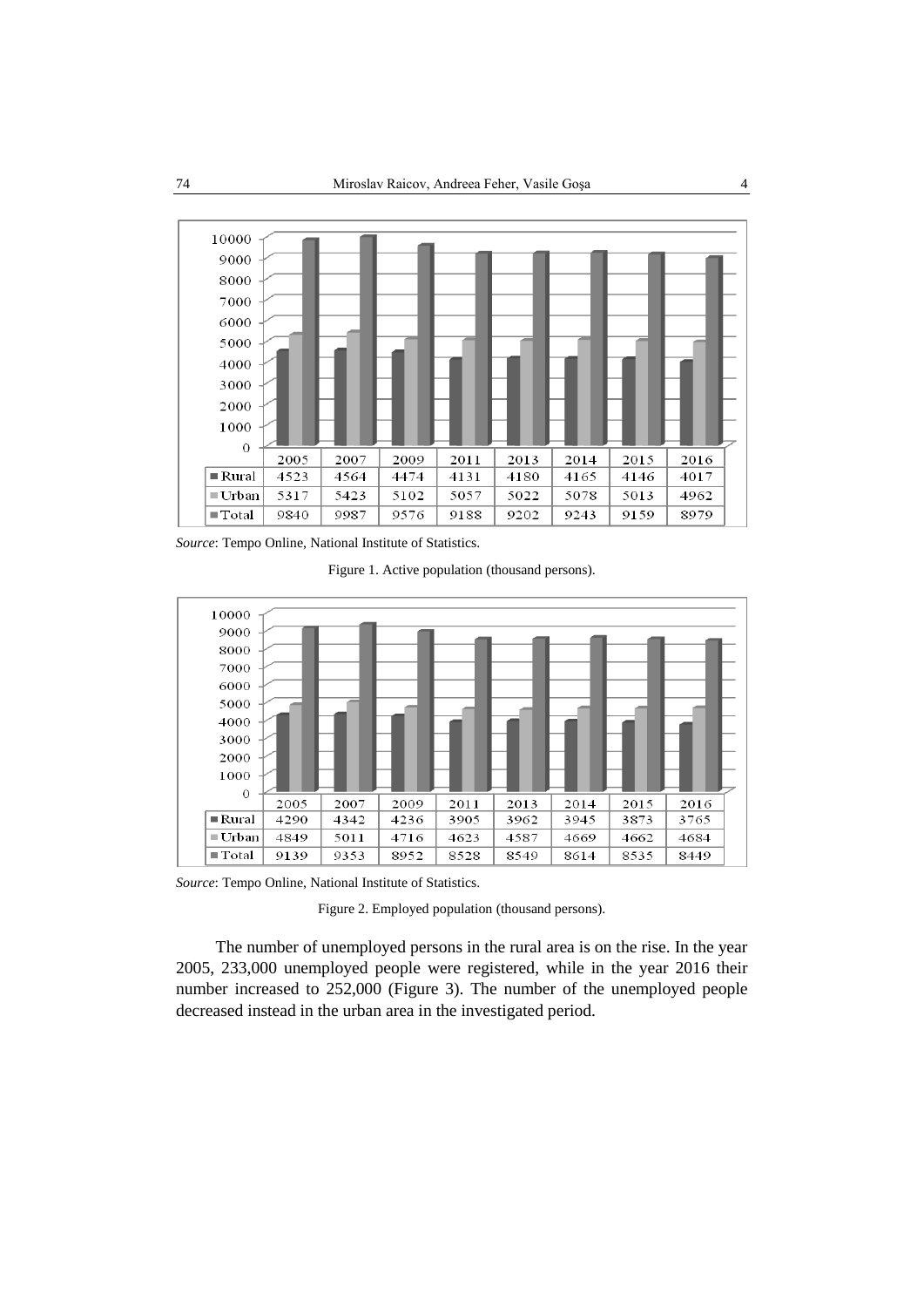

*Source*: Tempo Online, National Institute of Statistics.

Figure 1. Active population (thousand persons).



*Source*: Tempo Online, National Institute of Statistics.

Figure 2. Employed population (thousand persons).

The number of unemployed persons in the rural area is on the rise. In the year 2005, 233,000 unemployed people were registered, while in the year 2016 their number increased to 252,000 (Figure 3). The number of the unemployed people decreased instead in the urban area in the investigated period.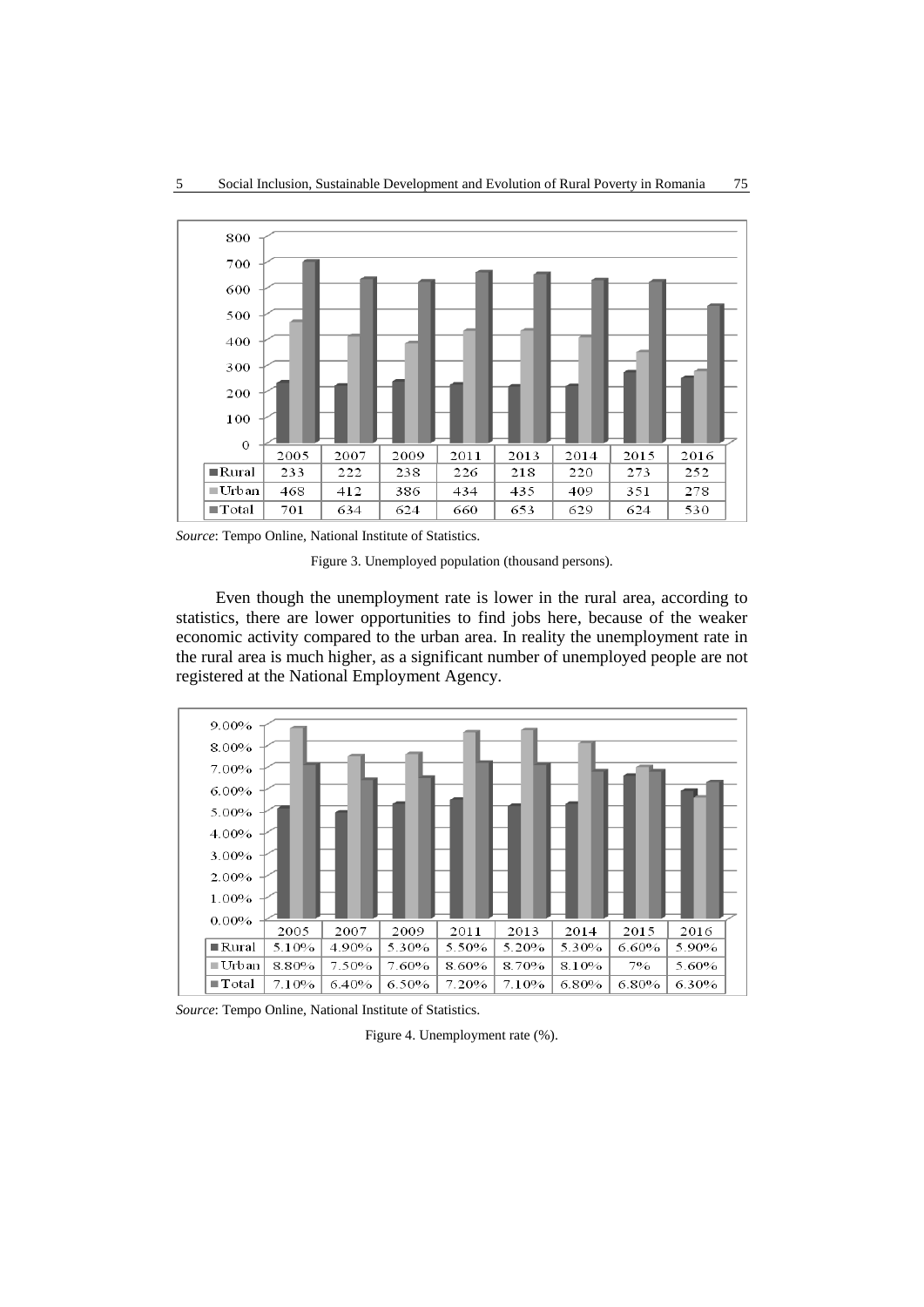

*Source*: Tempo Online, National Institute of Statistics.

Figure 3. Unemployed population (thousand persons).

Even though the unemployment rate is lower in the rural area, according to statistics, there are lower opportunities to find jobs here, because of the weaker economic activity compared to the urban area. In reality the unemployment rate in the rural area is much higher, as a significant number of unemployed people are not registered at the National Employment Agency.



*Source*: Tempo Online, National Institute of Statistics.

Figure 4. Unemployment rate (%).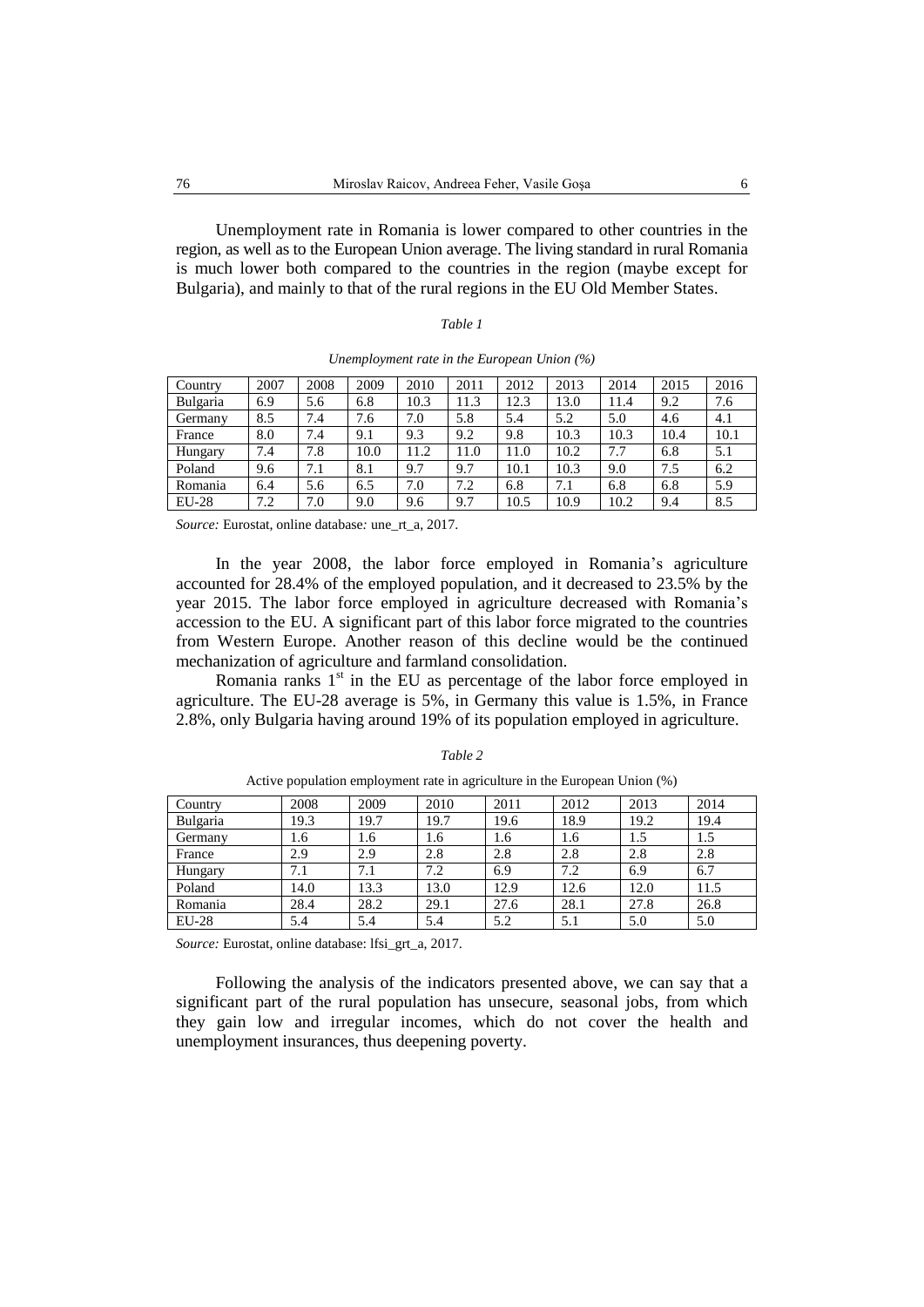Unemployment rate in Romania is lower compared to other countries in the region, as well as to the European Union average. The living standard in rural Romania is much lower both compared to the countries in the region (maybe except for Bulgaria), and mainly to that of the rural regions in the EU Old Member States.

| Country  | 2007 | 2008 | 2009 | 2010 | 2011 | 2012 | 2013 | 2014 | 2015 | 2016 |
|----------|------|------|------|------|------|------|------|------|------|------|
| Bulgaria | 6.9  | 5.6  | 6.8  | 10.3 | 11.3 | 12.3 | 13.0 | 11.4 | 9.2  | 7.6  |
| Germany  | 8.5  | 7.4  | 7.6  | 7.0  | 5.8  | 5.4  | 5.2  | 5.0  | 4.6  | 4.1  |
| France   | 8.0  | 7.4  | 9.1  | 9.3  | 9.2  | 9.8  | 10.3 | 10.3 | 10.4 | 10.1 |
| Hungary  | 7.4  | 7.8  | 10.0 | 11.2 | 11.0 | 11.0 | 10.2 | 7.7  | 6.8  | 5.1  |
| Poland   | 9.6  | 7.1  | 8.1  | 9.7  | 9.7  | 10.1 | 10.3 | 9.0  | 7.5  | 6.2  |
| Romania  | 6.4  | 5.6  | 6.5  | 7.0  | 7.2  | 6.8  | 7.1  | 6.8  | 6.8  | 5.9  |
| $EU-28$  | 7.2  | 7.0  | 9.0  | 9.6  | 9.7  | 10.5 | 10.9 | 10.2 | 9.4  | 8.5  |

*Unemployment rate in the European Union (%)*

*Source:* Eurostat, online database*:* une\_rt\_a, 2017.

In the year 2008, the labor force employed in Romania's agriculture accounted for 28.4% of the employed population, and it decreased to 23.5% by the year 2015. The labor force employed in agriculture decreased with Romania's accession to the EU. A significant part of this labor force migrated to the countries from Western Europe. Another reason of this decline would be the continued mechanization of agriculture and farmland consolidation.

Romania ranks  $1<sup>st</sup>$  in the EU as percentage of the labor force employed in agriculture. The EU-28 average is 5%, in Germany this value is 1.5%, in France 2.8%, only Bulgaria having around 19% of its population employed in agriculture.

| Country  | 2008 | 2009 | 2010 | 2011 | 2012 | 2013 | 2014 |
|----------|------|------|------|------|------|------|------|
| Bulgaria | 19.3 | 19.7 | 19.7 | 19.6 | 18.9 | 19.2 | 19.4 |
| Germany  | 1.6  | 1.6  | 1.6  | 1.6  | 1.6  | 1.5  | 1.5  |
| France   | 2.9  | 2.9  | 2.8  | 2.8  | 2.8  | 2.8  | 2.8  |
| Hungary  | 7.1  | 7.1  | 7.2  | 6.9  | 7.2  | 6.9  | 6.7  |
| Poland   | 14.0 | 13.3 | 13.0 | 12.9 | 12.6 | 12.0 | 11.5 |
| Romania  | 28.4 | 28.2 | 29.1 | 27.6 | 28.1 | 27.8 | 26.8 |
| $EU-28$  | 5.4  | 5.4  | 5.4  | 5.2  | 5.1  | 5.0  | 5.0  |

*Table 2* Active population employment rate in agriculture in the European Union (%)

*Source:* Eurostat, online database: lfsi\_grt\_a, 2017.

Following the analysis of the indicators presented above, we can say that a significant part of the rural population has unsecure, seasonal jobs, from which they gain low and irregular incomes, which do not cover the health and unemployment insurances, thus deepening poverty.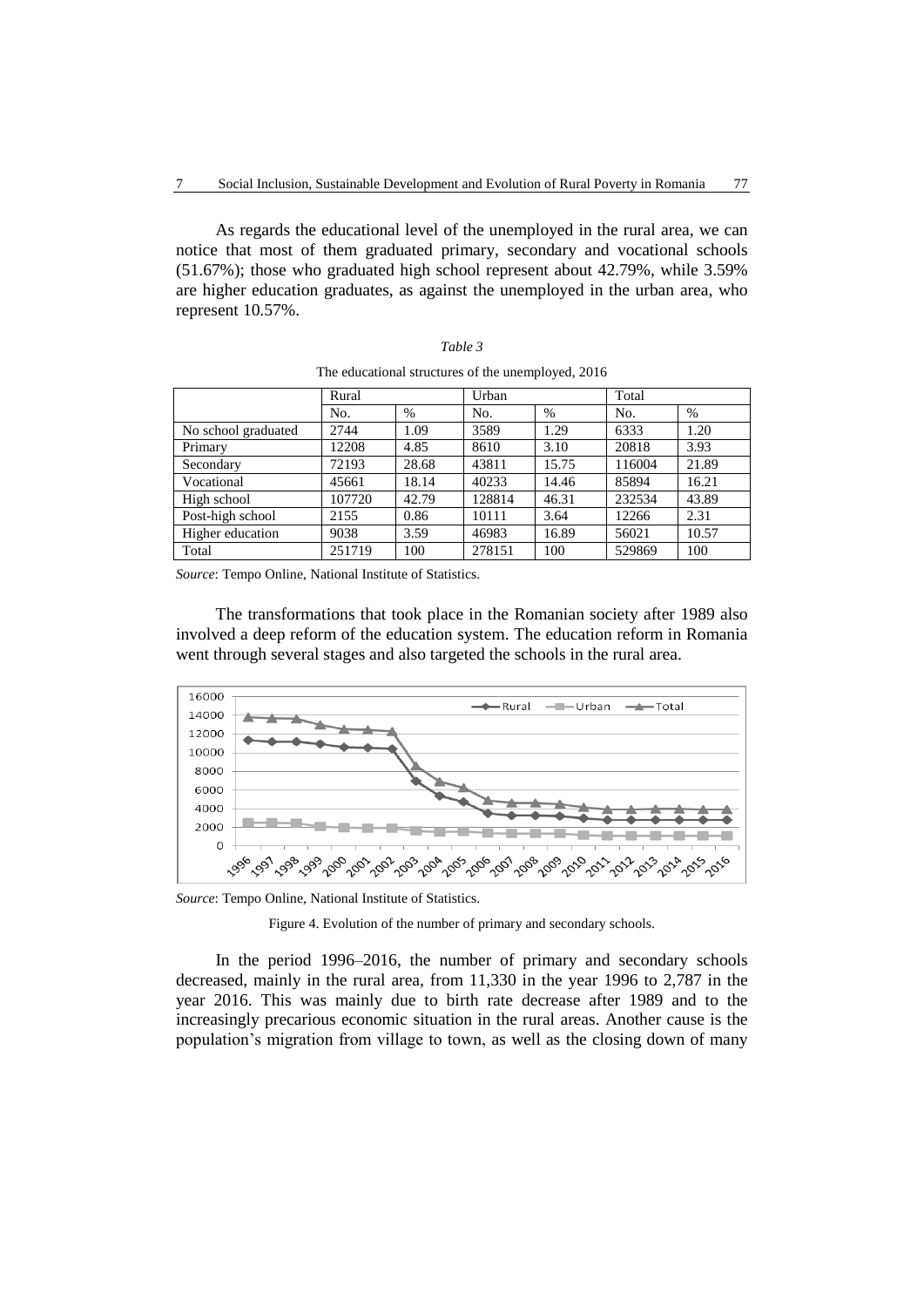As regards the educational level of the unemployed in the rural area, we can notice that most of them graduated primary, secondary and vocational schools (51.67%); those who graduated high school represent about 42.79%, while 3.59% are higher education graduates, as against the unemployed in the urban area, who represent 10.57%.

|                     | Rural  |       | Urban  |       | Total  |       |  |
|---------------------|--------|-------|--------|-------|--------|-------|--|
|                     | No.    | %     | No.    | $\%$  | No.    | $\%$  |  |
| No school graduated | 2744   | 1.09  | 3589   | 1.29  | 6333   | 1.20  |  |
| Primary             | 12208  | 4.85  | 8610   | 3.10  | 20818  | 3.93  |  |
| Secondary           | 72193  | 28.68 | 43811  | 15.75 | 116004 | 21.89 |  |
| Vocational          | 45661  | 18.14 | 40233  | 14.46 | 85894  | 16.21 |  |
| High school         | 107720 | 42.79 | 128814 | 46.31 | 232534 | 43.89 |  |
| Post-high school    | 2155   | 0.86  | 10111  | 3.64  | 12266  | 2.31  |  |
| Higher education    | 9038   | 3.59  | 46983  | 16.89 | 56021  | 10.57 |  |
| Total               | 251719 | 100   | 278151 | 100   | 529869 | 100   |  |

| Table 3                                            |  |
|----------------------------------------------------|--|
| The educational structures of the unemployed, 2016 |  |

*Source*: Tempo Online, National Institute of Statistics.

The transformations that took place in the Romanian society after 1989 also involved a deep reform of the education system. The education reform in Romania went through several stages and also targeted the schools in the rural area.



*Source*: Tempo Online, National Institute of Statistics.

Figure 4. Evolution of the number of primary and secondary schools.

In the period 1996–2016, the number of primary and secondary schools decreased, mainly in the rural area, from 11,330 in the year 1996 to 2,787 in the year 2016. This was mainly due to birth rate decrease after 1989 and to the increasingly precarious economic situation in the rural areas. Another cause is the population's migration from village to town, as well as the closing down of many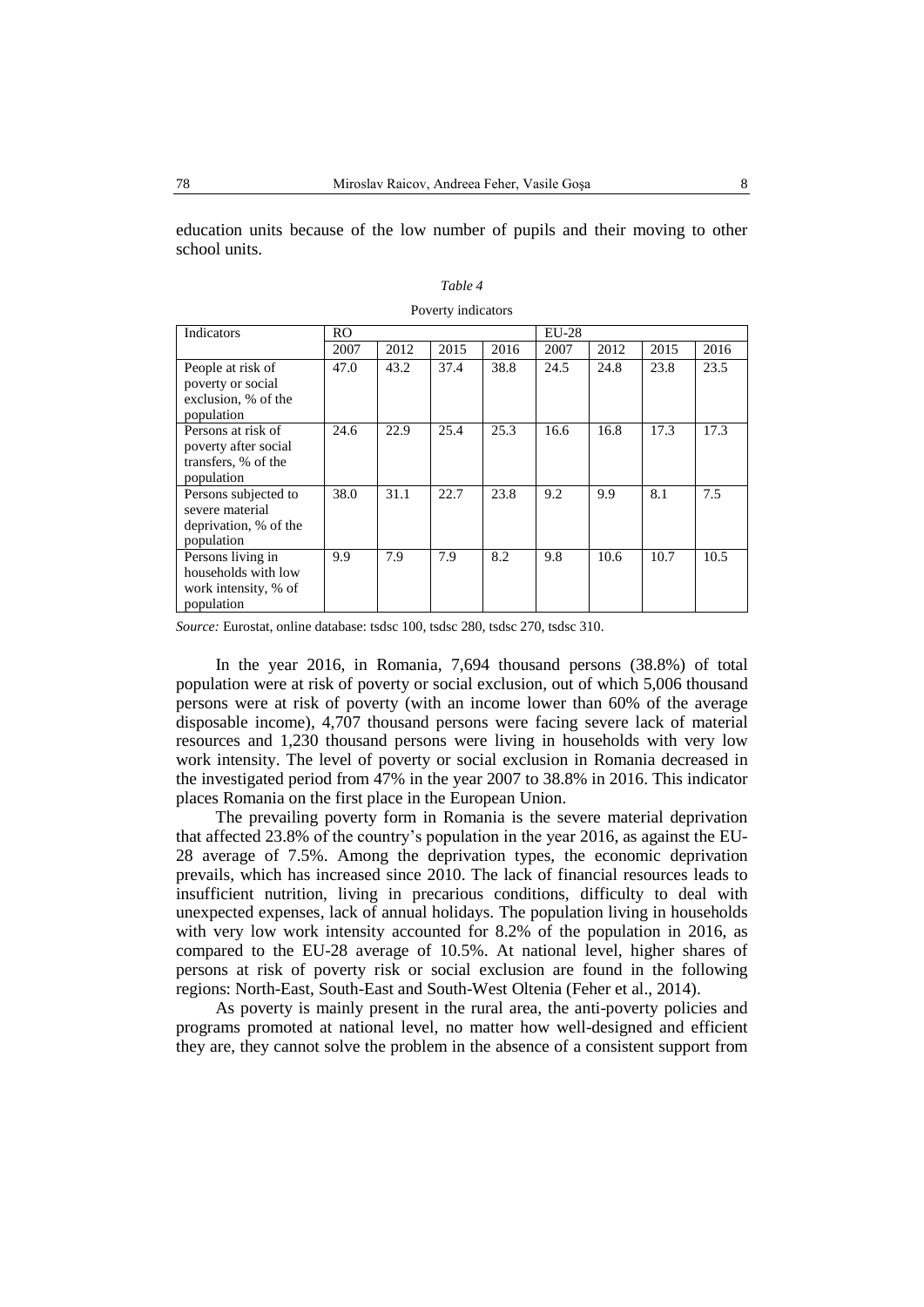education units because of the low number of pupils and their moving to other school units.

|                                                                                 |                |      | I OVULLY INGILATOID |      |         |      |      |      |
|---------------------------------------------------------------------------------|----------------|------|---------------------|------|---------|------|------|------|
| Indicators                                                                      | R <sub>O</sub> |      |                     |      | $EU-28$ |      |      |      |
|                                                                                 | 2007           | 2012 | 2015                | 2016 | 2007    | 2012 | 2015 | 2016 |
| People at risk of<br>poverty or social<br>exclusion, % of the<br>population     | 47.0           | 43.2 | 37.4                | 38.8 | 24.5    | 24.8 | 23.8 | 23.5 |
| Persons at risk of<br>poverty after social<br>transfers, % of the<br>population | 24.6           | 22.9 | 25.4                | 25.3 | 16.6    | 16.8 | 17.3 | 17.3 |
| Persons subjected to<br>severe material<br>deprivation, % of the<br>population  | 38.0           | 31.1 | 22.7                | 23.8 | 9.2     | 9.9  | 8.1  | 7.5  |
| Persons living in<br>households with low<br>work intensity, % of<br>population  | 9.9            | 7.9  | 7.9                 | 8.2  | 9.8     | 10.6 | 10.7 | 10.5 |

| Table 4            |
|--------------------|
| Poverty indicators |

*Source:* Eurostat, online database: tsdsc 100, tsdsc 280, tsdsc 270, tsdsc 310.

In the year 2016, in Romania, 7,694 thousand persons (38.8%) of total population were at risk of poverty or social exclusion, out of which 5,006 thousand persons were at risk of poverty (with an income lower than 60% of the average disposable income), 4,707 thousand persons were facing severe lack of material resources and 1,230 thousand persons were living in households with very low work intensity. The level of poverty or social exclusion in Romania decreased in the investigated period from 47% in the year 2007 to 38.8% in 2016. This indicator places Romania on the first place in the European Union.

The prevailing poverty form in Romania is the severe material deprivation that affected 23.8% of the country's population in the year 2016, as against the EU-28 average of 7.5%. Among the deprivation types, the economic deprivation prevails, which has increased since 2010. The lack of financial resources leads to insufficient nutrition, living in precarious conditions, difficulty to deal with unexpected expenses, lack of annual holidays. The population living in households with very low work intensity accounted for 8.2% of the population in 2016, as compared to the EU-28 average of 10.5%. At national level, higher shares of persons at risk of poverty risk or social exclusion are found in the following regions: North-East, South-East and South-West Oltenia (Feher et al., 2014).

As poverty is mainly present in the rural area, the anti-poverty policies and programs promoted at national level, no matter how well-designed and efficient they are, they cannot solve the problem in the absence of a consistent support from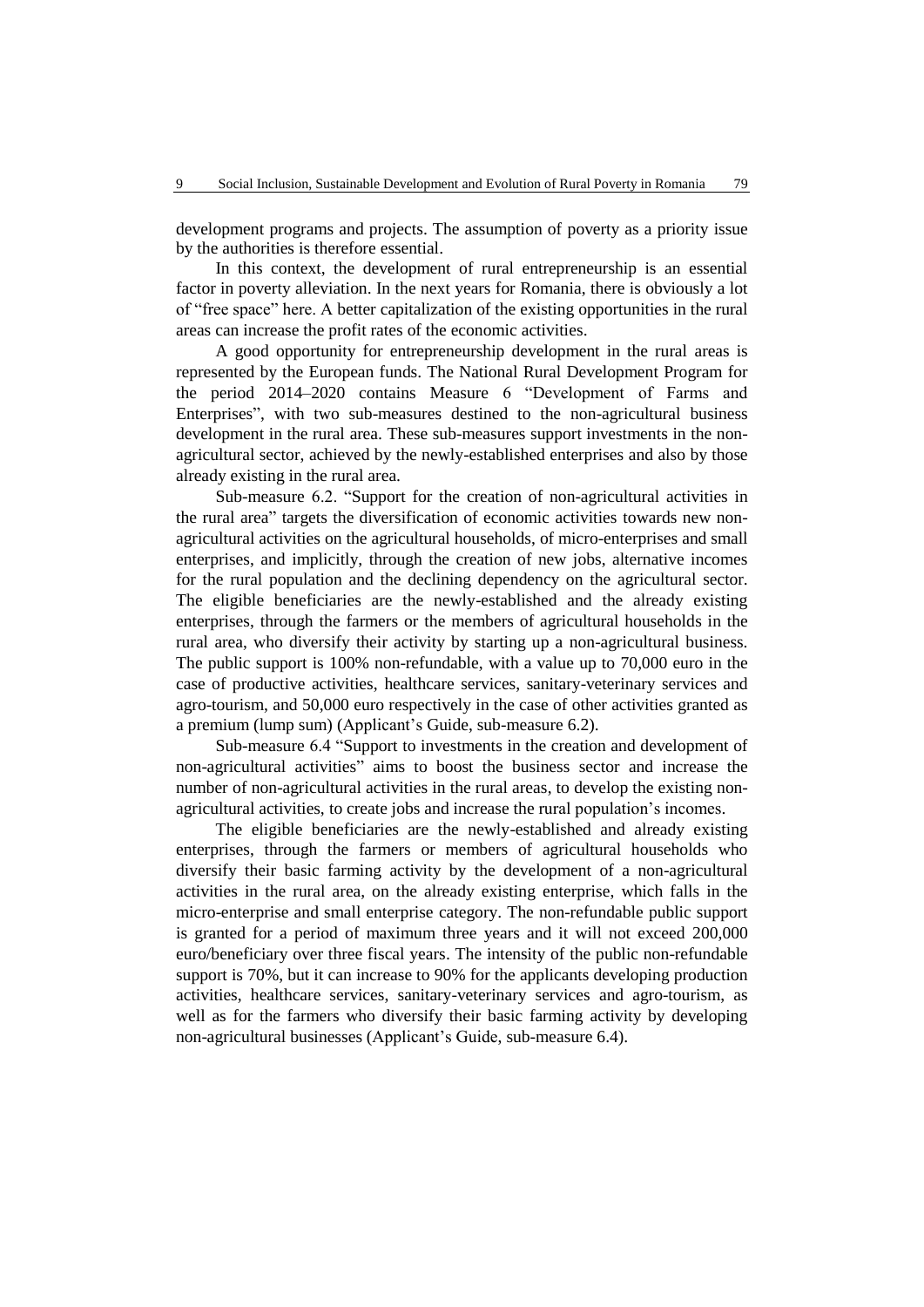development programs and projects. The assumption of poverty as a priority issue by the authorities is therefore essential.

In this context, the development of rural entrepreneurship is an essential factor in poverty alleviation. In the next years for Romania, there is obviously a lot of "free space" here. A better capitalization of the existing opportunities in the rural areas can increase the profit rates of the economic activities.

A good opportunity for entrepreneurship development in the rural areas is represented by the European funds. The National Rural Development Program for the period 2014–2020 contains Measure 6 "Development of Farms and Enterprises", with two sub-measures destined to the non-agricultural business development in the rural area. These sub-measures support investments in the nonagricultural sector, achieved by the newly-established enterprises and also by those already existing in the rural area.

Sub-measure 6.2. "Support for the creation of non-agricultural activities in the rural area" targets the diversification of economic activities towards new nonagricultural activities on the agricultural households, of micro-enterprises and small enterprises, and implicitly, through the creation of new jobs, alternative incomes for the rural population and the declining dependency on the agricultural sector. The eligible beneficiaries are the newly-established and the already existing enterprises, through the farmers or the members of agricultural households in the rural area, who diversify their activity by starting up a non-agricultural business. The public support is 100% non-refundable, with a value up to 70,000 euro in the case of productive activities, healthcare services, sanitary-veterinary services and agro-tourism, and 50,000 euro respectively in the case of other activities granted as a premium (lump sum) (Applicant's Guide, sub-measure 6.2).

Sub-measure 6.4 "Support to investments in the creation and development of non-agricultural activities" aims to boost the business sector and increase the number of non-agricultural activities in the rural areas, to develop the existing nonagricultural activities, to create jobs and increase the rural population's incomes.

The eligible beneficiaries are the newly-established and already existing enterprises, through the farmers or members of agricultural households who diversify their basic farming activity by the development of a non-agricultural activities in the rural area, on the already existing enterprise, which falls in the micro-enterprise and small enterprise category. The non-refundable public support is granted for a period of maximum three years and it will not exceed 200,000 euro/beneficiary over three fiscal years. The intensity of the public non-refundable support is 70%, but it can increase to 90% for the applicants developing production activities, healthcare services, sanitary-veterinary services and agro-tourism, as well as for the farmers who diversify their basic farming activity by developing non-agricultural businesses (Applicant's Guide, sub-measure 6.4).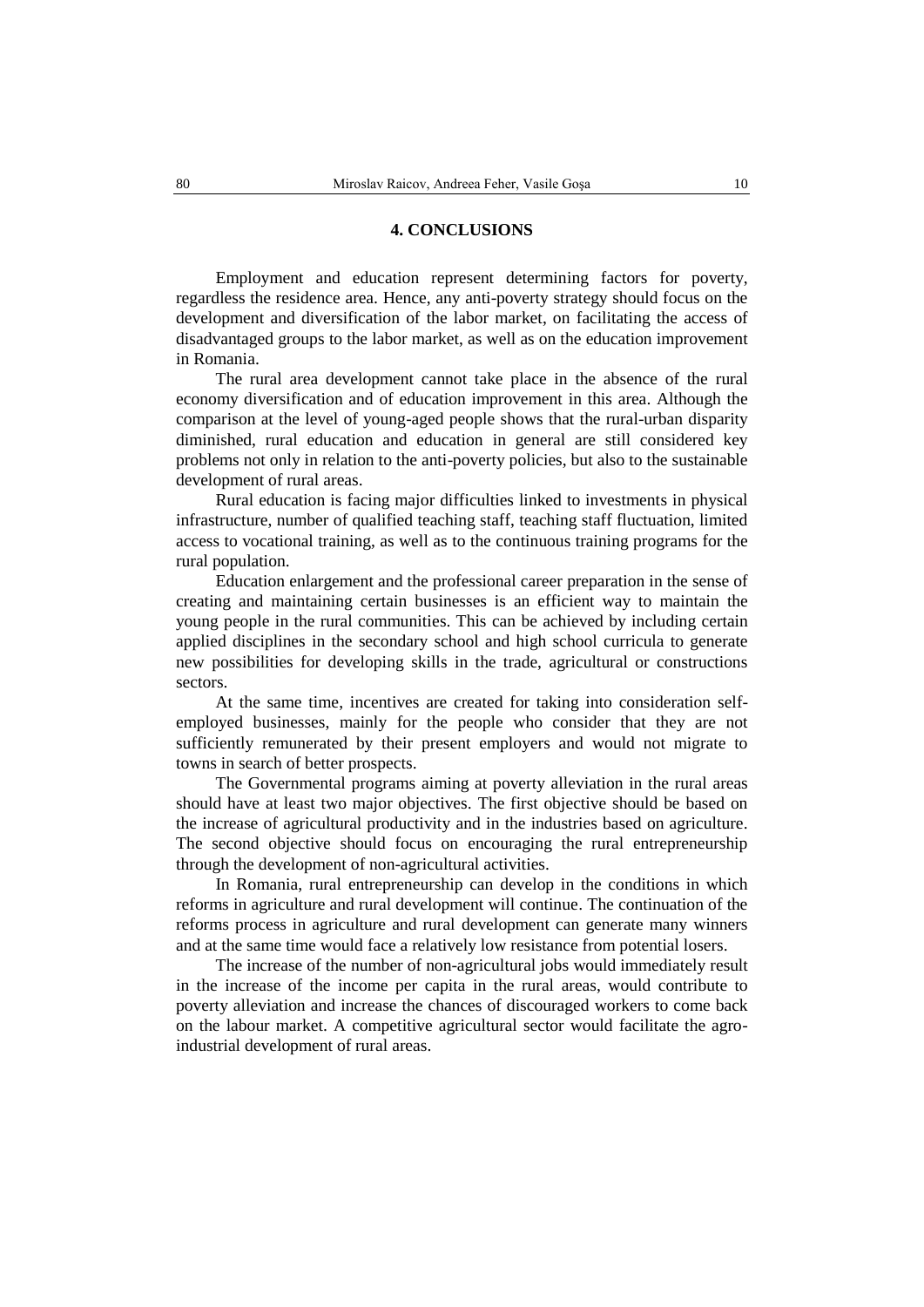#### **4. CONCLUSIONS**

Employment and education represent determining factors for poverty, regardless the residence area. Hence, any anti-poverty strategy should focus on the development and diversification of the labor market, on facilitating the access of disadvantaged groups to the labor market, as well as on the education improvement in Romania.

The rural area development cannot take place in the absence of the rural economy diversification and of education improvement in this area. Although the comparison at the level of young-aged people shows that the rural-urban disparity diminished, rural education and education in general are still considered key problems not only in relation to the anti-poverty policies, but also to the sustainable development of rural areas.

Rural education is facing major difficulties linked to investments in physical infrastructure, number of qualified teaching staff, teaching staff fluctuation, limited access to vocational training, as well as to the continuous training programs for the rural population.

Education enlargement and the professional career preparation in the sense of creating and maintaining certain businesses is an efficient way to maintain the young people in the rural communities. This can be achieved by including certain applied disciplines in the secondary school and high school curricula to generate new possibilities for developing skills in the trade, agricultural or constructions sectors.

At the same time, incentives are created for taking into consideration selfemployed businesses, mainly for the people who consider that they are not sufficiently remunerated by their present employers and would not migrate to towns in search of better prospects.

The Governmental programs aiming at poverty alleviation in the rural areas should have at least two major objectives. The first objective should be based on the increase of agricultural productivity and in the industries based on agriculture. The second objective should focus on encouraging the rural entrepreneurship through the development of non-agricultural activities.

In Romania, rural entrepreneurship can develop in the conditions in which reforms in agriculture and rural development will continue. The continuation of the reforms process in agriculture and rural development can generate many winners and at the same time would face a relatively low resistance from potential losers.

The increase of the number of non-agricultural jobs would immediately result in the increase of the income per capita in the rural areas, would contribute to poverty alleviation and increase the chances of discouraged workers to come back on the labour market. A competitive agricultural sector would facilitate the agroindustrial development of rural areas.